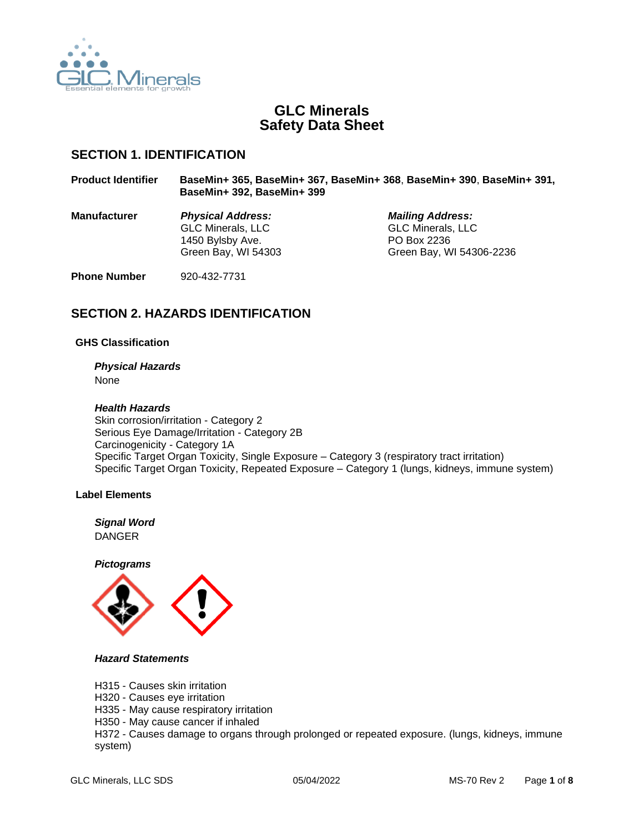

# **GLC Minerals Safety Data Sheet**

## **SECTION 1. IDENTIFICATION**

| <b>Product Identifier</b> | BaseMin+ 365, BaseMin+ 367, BaseMin+ 368, BaseMin+ 390, BaseMin+ 391,<br>BaseMin+ 392, BaseMin+ 399 |                                                                                                |  |
|---------------------------|-----------------------------------------------------------------------------------------------------|------------------------------------------------------------------------------------------------|--|
| <b>Manufacturer</b>       | <b>Physical Address:</b><br><b>GLC Minerals, LLC</b><br>1450 Bylsby Ave.<br>Green Bay, WI 54303     | <b>Mailing Address:</b><br><b>GLC Minerals, LLC</b><br>PO Box 2236<br>Green Bay, WI 54306-2236 |  |
| <b>Phone Number</b>       | 920-432-7731                                                                                        |                                                                                                |  |

# **SECTION 2. HAZARDS IDENTIFICATION**

## **GHS Classification**

*Physical Hazards* None

## *Health Hazards*

Skin corrosion/irritation - Category 2 Serious Eye Damage/Irritation - Category 2B Carcinogenicity - Category 1A Specific Target Organ Toxicity, Single Exposure – Category 3 (respiratory tract irritation) Specific Target Organ Toxicity, Repeated Exposure – Category 1 (lungs, kidneys, immune system)

## **Label Elements**

*Signal Word* DANGER

*Pictograms*



### *Hazard Statements*

H315 - Causes skin irritation

H320 - Causes eye irritation

H335 - May cause respiratory irritation

H350 - May cause cancer if inhaled

H372 - Causes damage to organs through prolonged or repeated exposure. (lungs, kidneys, immune system)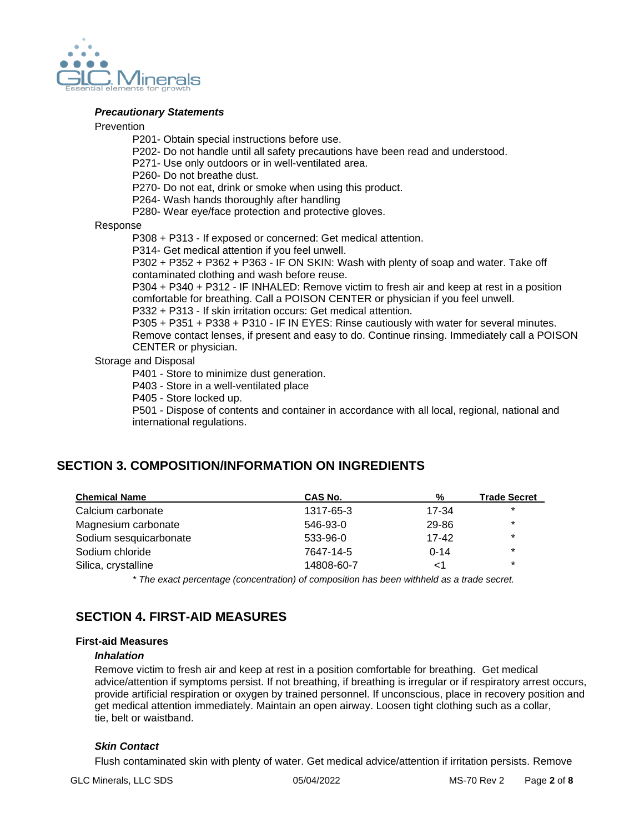

### *Precautionary Statements*

#### **Prevention**

- P201- Obtain special instructions before use.
- P202- Do not handle until all safety precautions have been read and understood.
- P271- Use only outdoors or in well-ventilated area.

P260- Do not breathe dust.

- P270- Do not eat, drink or smoke when using this product.
- P264- Wash hands thoroughly after handling
- P280- Wear eye/face protection and protective gloves.

### Response

- P308 + P313 If exposed or concerned: Get medical attention.
- P314- Get medical attention if you feel unwell.

P302 + P352 + P362 + P363 - IF ON SKIN: Wash with plenty of soap and water. Take off contaminated clothing and wash before reuse.

P304 + P340 + P312 - IF INHALED: Remove victim to fresh air and keep at rest in a position comfortable for breathing. Call a POISON CENTER or physician if you feel unwell.

P332 + P313 - If skin irritation occurs: Get medical attention.

P305 + P351 + P338 + P310 - IF IN EYES: Rinse cautiously with water for several minutes. Remove contact lenses, if present and easy to do. Continue rinsing. Immediately call a POISON CENTER or physician.

## Storage and Disposal

P401 - Store to minimize dust generation.

- P403 Store in a well-ventilated place
- P405 Store locked up.

P501 - Dispose of contents and container in accordance with all local, regional, national and international regulations.

# **SECTION 3. COMPOSITION/INFORMATION ON INGREDIENTS**

| <b>Chemical Name</b>   | CAS No.    | %        | <b>Trade Secret</b> |
|------------------------|------------|----------|---------------------|
| Calcium carbonate      | 1317-65-3  | 17-34    | $\star$             |
| Magnesium carbonate    | 546-93-0   | 29-86    | $\star$             |
| Sodium sesquicarbonate | 533-96-0   | $17-42$  | $\star$             |
| Sodium chloride        | 7647-14-5  | $0 - 14$ | $\star$             |
| Silica, crystalline    | 14808-60-7 | <1       | $\star$             |

*\* The exact percentage (concentration) of composition has been withheld as a trade secret.*

# **SECTION 4. FIRST-AID MEASURES**

## **First-aid Measures**

#### *Inhalation*

Remove victim to fresh air and keep at rest in a position comfortable for breathing. Get medical advice/attention if symptoms persist. If not breathing, if breathing is irregular or if respiratory arrest occurs, provide artificial respiration or oxygen by trained personnel. If unconscious, place in recovery position and get medical attention immediately. Maintain an open airway. Loosen tight clothing such as a collar, tie, belt or waistband.

## *Skin Contact*

Flush contaminated skin with plenty of water. Get medical advice/attention if irritation persists. Remove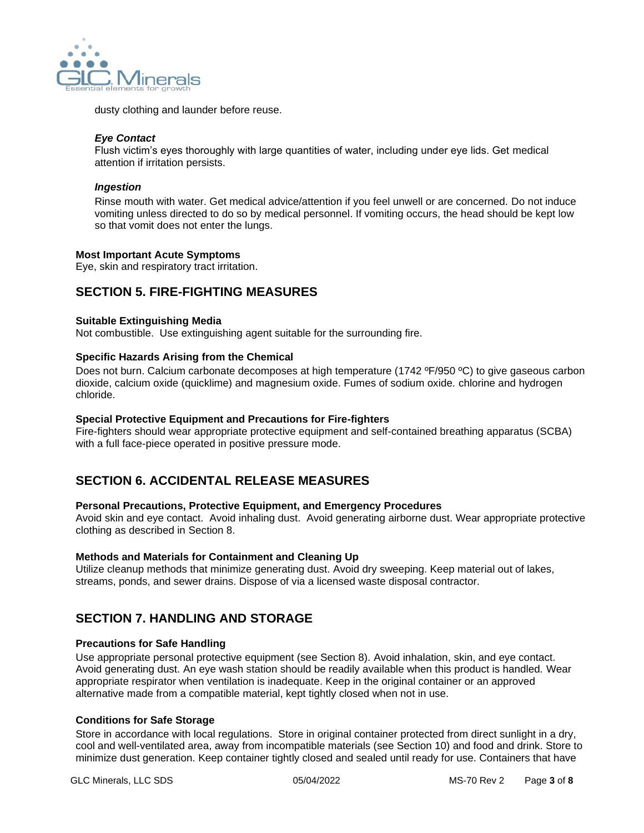

dusty clothing and launder before reuse.

### *Eye Contact*

Flush victim's eyes thoroughly with large quantities of water, including under eye lids. Get medical attention if irritation persists.

### *Ingestion*

Rinse mouth with water. Get medical advice/attention if you feel unwell or are concerned. Do not induce vomiting unless directed to do so by medical personnel. If vomiting occurs, the head should be kept low so that vomit does not enter the lungs.

## **Most Important Acute Symptoms**

Eye, skin and respiratory tract irritation.

## **SECTION 5. FIRE-FIGHTING MEASURES**

### **Suitable Extinguishing Media**

Not combustible. Use extinguishing agent suitable for the surrounding fire.

### **Specific Hazards Arising from the Chemical**

Does not burn. Calcium carbonate decomposes at high temperature (1742 ºF/950 ºC) to give gaseous carbon dioxide, calcium oxide (quicklime) and magnesium oxide. Fumes of sodium oxide. chlorine and hydrogen chloride.

### **Special Protective Equipment and Precautions for Fire-fighters**

Fire-fighters should wear appropriate protective equipment and self-contained breathing apparatus (SCBA) with a full face-piece operated in positive pressure mode.

## **SECTION 6. ACCIDENTAL RELEASE MEASURES**

## **Personal Precautions, Protective Equipment, and Emergency Procedures**

Avoid skin and eye contact. Avoid inhaling dust. Avoid generating airborne dust. Wear appropriate protective clothing as described in Section 8.

## **Methods and Materials for Containment and Cleaning Up**

Utilize cleanup methods that minimize generating dust. Avoid dry sweeping. Keep material out of lakes, streams, ponds, and sewer drains. Dispose of via a licensed waste disposal contractor.

## **SECTION 7. HANDLING AND STORAGE**

## **Precautions for Safe Handling**

Use appropriate personal protective equipment (see Section 8). Avoid inhalation, skin, and eye contact. Avoid generating dust. An eye wash station should be readily available when this product is handled. Wear appropriate respirator when ventilation is inadequate. Keep in the original container or an approved alternative made from a compatible material, kept tightly closed when not in use.

## **Conditions for Safe Storage**

Store in accordance with local regulations. Store in original container protected from direct sunlight in a dry, cool and well-ventilated area, away from incompatible materials (see Section 10) and food and drink. Store to minimize dust generation. Keep container tightly closed and sealed until ready for use. Containers that have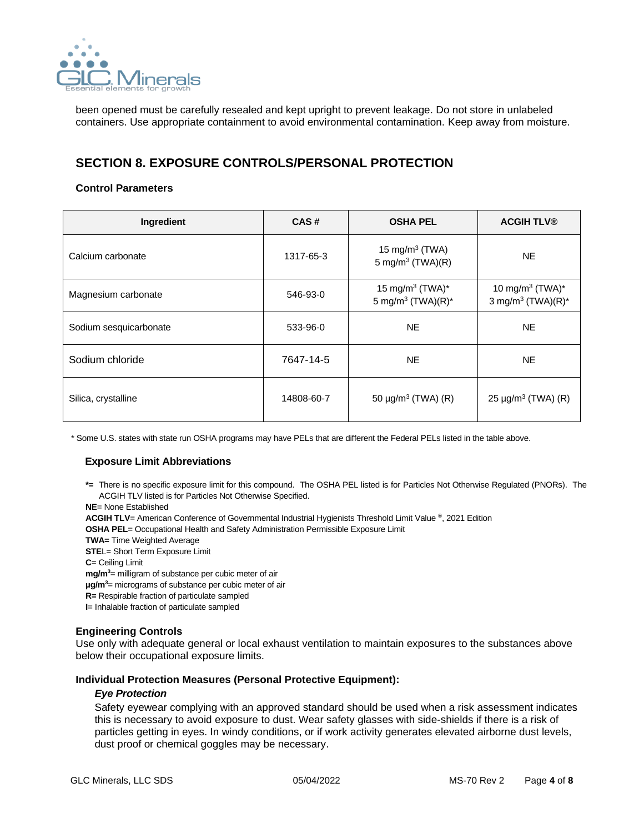

been opened must be carefully resealed and kept upright to prevent leakage. Do not store in unlabeled containers. Use appropriate containment to avoid environmental contamination. Keep away from moisture.

# **SECTION 8. EXPOSURE CONTROLS/PERSONAL PROTECTION**

## **Control Parameters**

| Ingredient             | CAS#       | <b>OSHA PEL</b>                                              | <b>ACGIH TLV®</b>                                            |
|------------------------|------------|--------------------------------------------------------------|--------------------------------------------------------------|
| Calcium carbonate      | 1317-65-3  | 15 mg/m $3$ (TWA)<br>5 mg/m <sup>3</sup> (TWA)(R)            | NE.                                                          |
| Magnesium carbonate    | 546-93-0   | 15 mg/m <sup>3</sup> (TWA)*<br>5 mg/m <sup>3</sup> (TWA)(R)* | 10 mg/m <sup>3</sup> (TWA)*<br>3 mg/m <sup>3</sup> (TWA)(R)* |
| Sodium sesquicarbonate | 533-96-0   | <b>NE</b>                                                    | NE.                                                          |
| Sodium chloride        | 7647-14-5  | <b>NE</b>                                                    | NE.                                                          |
| Silica, crystalline    | 14808-60-7 | 50 $\mu$ g/m <sup>3</sup> (TWA) (R)                          | $25 \mu g/m^3$ (TWA) (R)                                     |

\* Some U.S. states with state run OSHA programs may have PELs that are different the Federal PELs listed in the table above.

## **Exposure Limit Abbreviations**

**\*=** There is no specific exposure limit for this compound. The OSHA PEL listed is for Particles Not Otherwise Regulated (PNORs). The ACGIH TLV listed is for Particles Not Otherwise Specified.

**NE**= None Established

**ACGIH TLV**= American Conference of Governmental Industrial Hygienists Threshold Limit Value ® , 2021 Edition

**OSHA PEL**= Occupational Health and Safety Administration Permissible Exposure Limit

**TWA=** Time Weighted Average

**STEL= Short Term Exposure Limit** 

**C**= Ceiling Limit

**mg/m<sup>3</sup>**= milligram of substance per cubic meter of air

**µg/m<sup>3</sup>**= micrograms of substance per cubic meter of air

**R=** Respirable fraction of particulate sampled

**I**= Inhalable fraction of particulate sampled

## **Engineering Controls**

Use only with adequate general or local exhaust ventilation to maintain exposures to the substances above below their occupational exposure limits.

#### **Individual Protection Measures (Personal Protective Equipment):**

#### *Eye Protection*

Safety eyewear complying with an approved standard should be used when a risk assessment indicates this is necessary to avoid exposure to dust. Wear safety glasses with side-shields if there is a risk of particles getting in eyes. In windy conditions, or if work activity generates elevated airborne dust levels, dust proof or chemical goggles may be necessary.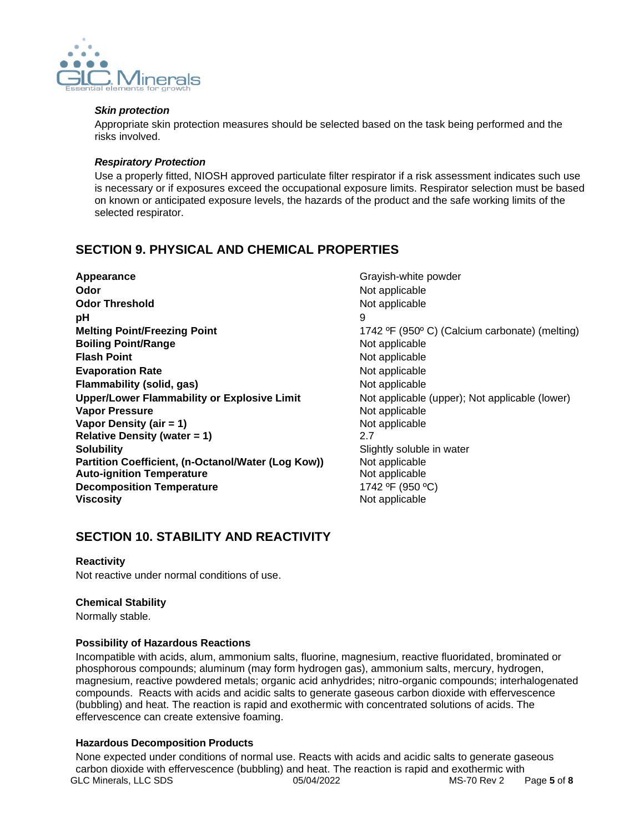

## *Skin protection*

Appropriate skin protection measures should be selected based on the task being performed and the risks involved.

## *Respiratory Protection*

Use a properly fitted, NIOSH approved particulate filter respirator if a risk assessment indicates such use is necessary or if exposures exceed the occupational exposure limits. Respirator selection must be based on known or anticipated exposure levels, the hazards of the product and the safe working limits of the selected respirator.

# **SECTION 9. PHYSICAL AND CHEMICAL PROPERTIES**

**Appearance Grayish-white powder Appearance Grayish-white powder Odor** Not applicable **Odor Threshold** Not applicable **pH** 9 **Melting Point/Freezing Point** 1742 °F (950° C) (Calcium carbonate) (melting) **Boiling Point/Range** Not applicable **Flash Point** Not applicable **Evaporation Rate** Not applicable **Flammability (solid, gas)** Not applicable **Upper/Lower Flammability or Explosive Limit** Not applicable (upper); Not applicable (lower) **Vapor Pressure** Not applicable **Vapor Density (air = 1)** Not applicable **Relative Density (water = 1)** 2.7 **Solubility** Soluble in water **Partition Coefficient, (n-Octanol/Water (Log Kow))** Not applicable **Auto-ignition Temperature Not applicable Decomposition Temperature** 1742 °F (950 °C) **Viscosity Not applicable** Not applicable

# **SECTION 10. STABILITY AND REACTIVITY**

## **Reactivity**

Not reactive under normal conditions of use.

## **Chemical Stability**

Normally stable.

## **Possibility of Hazardous Reactions**

Incompatible with acids, alum, ammonium salts, fluorine, magnesium, reactive fluoridated, brominated or phosphorous compounds; aluminum (may form hydrogen gas), ammonium salts, mercury, hydrogen, magnesium, reactive powdered metals; organic acid anhydrides; nitro-organic compounds; interhalogenated compounds. Reacts with acids and acidic salts to generate gaseous carbon dioxide with effervescence (bubbling) and heat. The reaction is rapid and exothermic with concentrated solutions of acids. The effervescence can create extensive foaming.

## **Hazardous Decomposition Products**

GLC Minerals, LLC SDS 05/04/2022 MS-70 Rev 2 Page **5** of **8** None expected under conditions of normal use. Reacts with acids and acidic salts to generate gaseous carbon dioxide with effervescence (bubbling) and heat. The reaction is rapid and exothermic with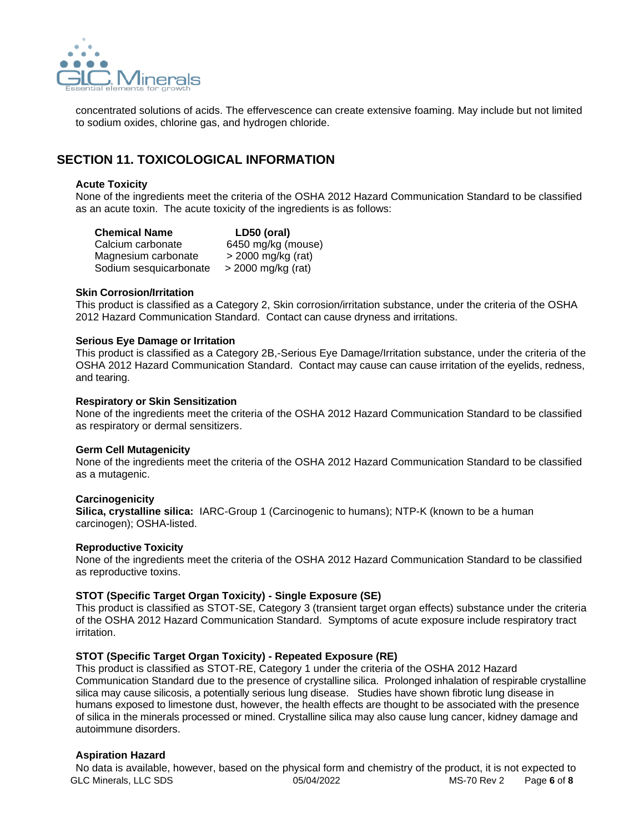

concentrated solutions of acids. The effervescence can create extensive foaming. May include but not limited to sodium oxides, chlorine gas, and hydrogen chloride.

## **SECTION 11. TOXICOLOGICAL INFORMATION**

### **Acute Toxicity**

None of the ingredients meet the criteria of the OSHA 2012 Hazard Communication Standard to be classified as an acute toxin. The acute toxicity of the ingredients is as follows:

| <b>Chemical Name</b>   | LD50 (oral)        |  |
|------------------------|--------------------|--|
| Calcium carbonate      | 6450 mg/kg (mouse) |  |
| Magnesium carbonate    | > 2000 mg/kg (rat) |  |
| Sodium sesquicarbonate | > 2000 mg/kg (rat) |  |

#### **Skin Corrosion/Irritation**

This product is classified as a Category 2, Skin corrosion/irritation substance, under the criteria of the OSHA 2012 Hazard Communication Standard. Contact can cause dryness and irritations.

### **Serious Eye Damage or Irritation**

This product is classified as a Category 2B,-Serious Eye Damage/Irritation substance, under the criteria of the OSHA 2012 Hazard Communication Standard. Contact may cause can cause irritation of the eyelids, redness, and tearing.

#### **Respiratory or Skin Sensitization**

None of the ingredients meet the criteria of the OSHA 2012 Hazard Communication Standard to be classified as respiratory or dermal sensitizers.

#### **Germ Cell Mutagenicity**

None of the ingredients meet the criteria of the OSHA 2012 Hazard Communication Standard to be classified as a mutagenic.

#### **Carcinogenicity**

**Silica, crystalline silica:** IARC-Group 1 (Carcinogenic to humans); NTP-K (known to be a human carcinogen); OSHA-listed.

## **Reproductive Toxicity**

None of the ingredients meet the criteria of the OSHA 2012 Hazard Communication Standard to be classified as reproductive toxins.

## **STOT (Specific Target Organ Toxicity) - Single Exposure (SE)**

This product is classified as STOT-SE, Category 3 (transient target organ effects) substance under the criteria of the OSHA 2012 Hazard Communication Standard. Symptoms of acute exposure include respiratory tract irritation.

## **STOT (Specific Target Organ Toxicity) - Repeated Exposure (RE)**

This product is classified as STOT-RE, Category 1 under the criteria of the OSHA 2012 Hazard Communication Standard due to the presence of crystalline silica. Prolonged inhalation of respirable crystalline silica may cause silicosis, a potentially serious lung disease. Studies have shown fibrotic lung disease in humans exposed to limestone dust, however, the health effects are thought to be associated with the presence of silica in the minerals processed or mined. Crystalline silica may also cause lung cancer, kidney damage and autoimmune disorders.

## **Aspiration Hazard**

GLC Minerals, LLC SDS 05/04/2022 MS-70 Rev 2 Page **6** of **8** No data is available, however, based on the physical form and chemistry of the product, it is not expected to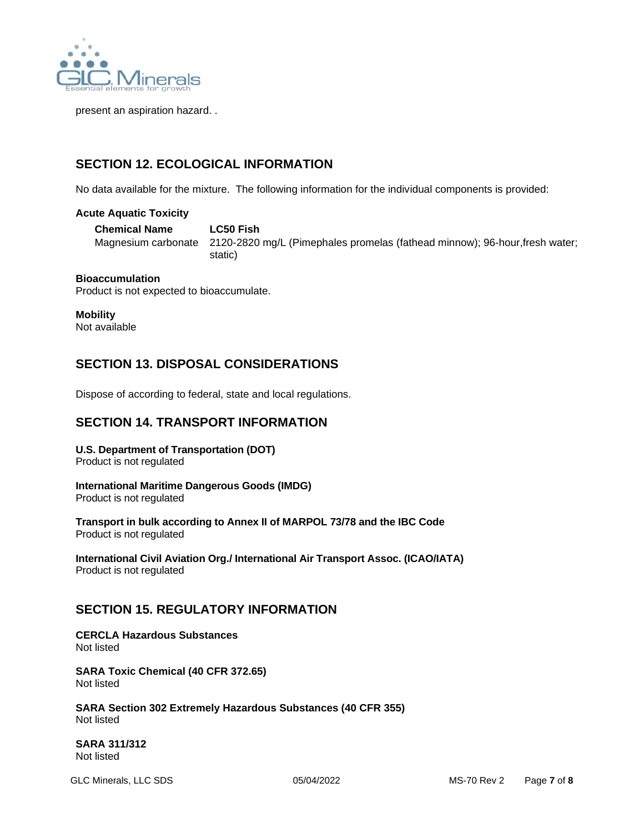

present an aspiration hazard. .

# **SECTION 12. ECOLOGICAL INFORMATION**

No data available for the mixture. The following information for the individual components is provided:

## **Acute Aquatic Toxicity**

**Chemical Name LC50 Fish**  Magnesium carbonate 2120-2820 mg/L (Pimephales promelas (fathead minnow); 96-hour,fresh water; static)

## **Bioaccumulation**

Product is not expected to bioaccumulate.

## **Mobility**

Not available

# **SECTION 13. DISPOSAL CONSIDERATIONS**

Dispose of according to federal, state and local regulations.

## **SECTION 14. TRANSPORT INFORMATION**

# **U.S. Department of Transportation (DOT)**

Product is not regulated

## **International Maritime Dangerous Goods (IMDG)**

Product is not regulated

**Transport in bulk according to Annex II of MARPOL 73/78 and the IBC Code** Product is not regulated

**International Civil Aviation Org./ International Air Transport Assoc. (ICAO/IATA)** Product is not regulated

## **SECTION 15. REGULATORY INFORMATION**

#### **CERCLA Hazardous Substances** Not listed

**SARA Toxic Chemical (40 CFR 372.65)** Not listed

**SARA Section 302 Extremely Hazardous Substances (40 CFR 355)** Not listed

**SARA 311/312** Not listed